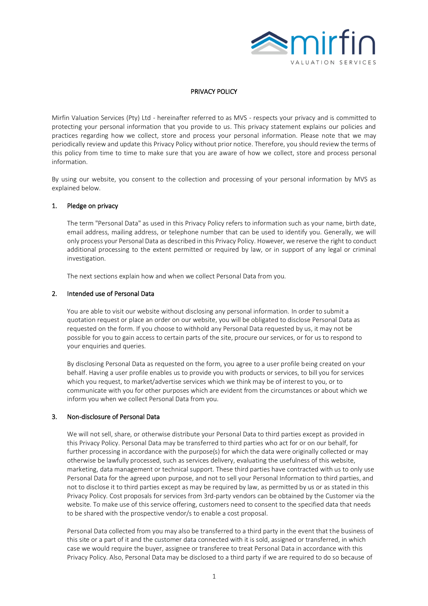

## PRIVACY POLICY

Mirfin Valuation Services (Pty) Ltd - hereinafter referred to as MVS - respects your privacy and is committed to protecting your personal information that you provide to us. This privacy statement explains our policies and practices regarding how we collect, store and process your personal information. Please note that we may periodically review and update this Privacy Policy without prior notice. Therefore, you should review the terms of this policy from time to time to make sure that you are aware of how we collect, store and process personal information.

By using our website, you consent to the collection and processing of your personal information by MVS as explained below.

### 1. Pledge on privacy

The term "Personal Data" as used in this Privacy Policy refers to information such as your name, birth date, email address, mailing address, or telephone number that can be used to identify you. Generally, we will only process your Personal Data as described in this Privacy Policy. However, we reserve the right to conduct additional processing to the extent permitted or required by law, or in support of any legal or criminal investigation.

The next sections explain how and when we collect Personal Data from you.

#### 2. Intended use of Personal Data

You are able to visit our website without disclosing any personal information. In order to submit a quotation request or place an order on our website, you will be obligated to disclose Personal Data as requested on the form. If you choose to withhold any Personal Data requested by us, it may not be possible for you to gain access to certain parts of the site, procure our services, or for us to respond to your enquiries and queries.

By disclosing Personal Data as requested on the form, you agree to a user profile being created on your behalf. Having a user profile enables us to provide you with products or services, to bill you for services which you request, to market/advertise services which we think may be of interest to you, or to communicate with you for other purposes which are evident from the circumstances or about which we inform you when we collect Personal Data from you.

### 3. Non-disclosure of Personal Data

We will not sell, share, or otherwise distribute your Personal Data to third parties except as provided in this Privacy Policy. Personal Data may be transferred to third parties who act for or on our behalf, for further processing in accordance with the purpose(s) for which the data were originally collected or may otherwise be lawfully processed, such as services delivery, evaluating the usefulness of this website, marketing, data management or technical support. These third parties have contracted with us to only use Personal Data for the agreed upon purpose, and not to sell your Personal Information to third parties, and not to disclose it to third parties except as may be required by law, as permitted by us or as stated in this Privacy Policy. Cost proposals for services from 3rd-party vendors can be obtained by the Customer via the website. To make use of this service offering, customers need to consent to the specified data that needs to be shared with the prospective vendor/s to enable a cost proposal.

Personal Data collected from you may also be transferred to a third party in the event that the business of this site or a part of it and the customer data connected with it is sold, assigned or transferred, in which case we would require the buyer, assignee or transferee to treat Personal Data in accordance with this Privacy Policy. Also, Personal Data may be disclosed to a third party if we are required to do so because of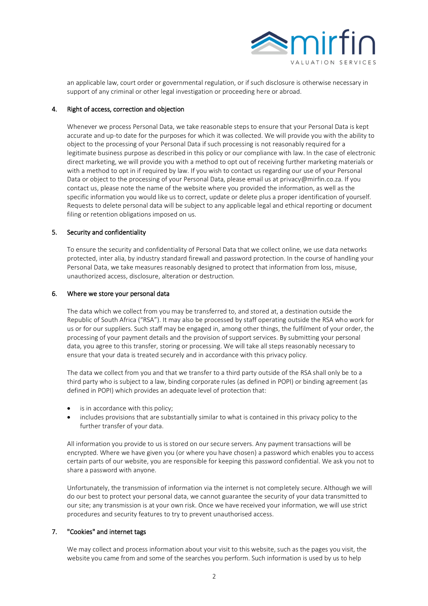

an applicable law, court order or governmental regulation, or if such disclosure is otherwise necessary in support of any criminal or other legal investigation or proceeding here or abroad.

### 4. Right of access, correction and objection

Whenever we process Personal Data, we take reasonable steps to ensure that your Personal Data is kept accurate and up-to date for the purposes for which it was collected. We will provide you with the ability to object to the processing of your Personal Data if such processing is not reasonably required for a legitimate business purpose as described in this policy or our compliance with law. In the case of electronic direct marketing, we will provide you with a method to opt out of receiving further marketing materials or with a method to opt in if required by law. If you wish to contact us regarding our use of your Personal Data or object to the processing of your Personal Data, please email us at privacy@mirfin.co.za. If you contact us, please note the name of the website where you provided the information, as well as the specific information you would like us to correct, update or delete plus a proper identification of yourself. Requests to delete personal data will be subject to any applicable legal and ethical reporting or document filing or retention obligations imposed on us.

## 5. Security and confidentiality

To ensure the security and confidentiality of Personal Data that we collect online, we use data networks protected, inter alia, by industry standard firewall and password protection. In the course of handling your Personal Data, we take measures reasonably designed to protect that information from loss, misuse, unauthorized access, disclosure, alteration or destruction.

### 6. Where we store your personal data

The data which we collect from you may be transferred to, and stored at, a destination outside the Republic of South Africa ("RSA"). It may also be processed by staff operating outside the RSA who work for us or for our suppliers. Such staff may be engaged in, among other things, the fulfilment of your order, the processing of your payment details and the provision of support services. By submitting your personal data, you agree to this transfer, storing or processing. We will take all steps reasonably necessary to ensure that your data is treated securely and in accordance with this privacy policy.

The data we collect from you and that we transfer to a third party outside of the RSA shall only be to a third party who is subject to a law, binding corporate rules (as defined in POPI) or binding agreement (as defined in POPI) which provides an adequate level of protection that:

- is in accordance with this policy;
- includes provisions that are substantially similar to what is contained in this privacy policy to the further transfer of your data.

All information you provide to us is stored on our secure servers. Any payment transactions will be encrypted. Where we have given you (or where you have chosen) a password which enables you to access certain parts of our website, you are responsible for keeping this password confidential. We ask you not to share a password with anyone.

Unfortunately, the transmission of information via the internet is not completely secure. Although we will do our best to protect your personal data, we cannot guarantee the security of your data transmitted to our site; any transmission is at your own risk. Once we have received your information, we will use strict procedures and security features to try to prevent unauthorised access.

### 7. "Cookies" and internet tags

We may collect and process information about your visit to this website, such as the pages you visit, the website you came from and some of the searches you perform. Such information is used by us to help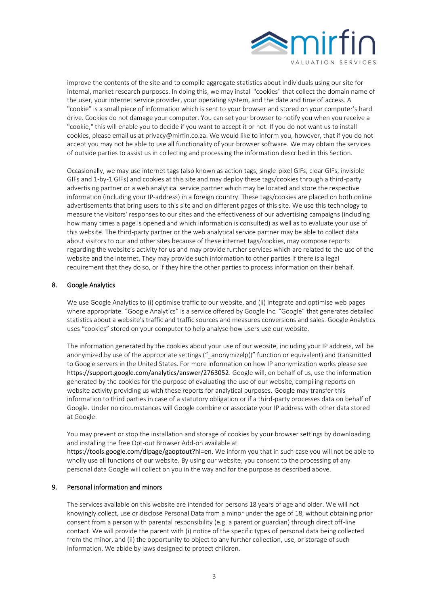

improve the contents of the site and to compile aggregate statistics about individuals using our site for internal, market research purposes. In doing this, we may install "cookies" that collect the domain name of the user, your internet service provider, your operating system, and the date and time of access. A "cookie" is a small piece of information which is sent to your browser and stored on your computer's hard drive. Cookies do not damage your computer. You can set your browser to notify you when you receive a "cookie," this will enable you to decide if you want to accept it or not. If you do not want us to install cookies, please email us at privacy@mirfin.co.za. We would like to inform you, however, that if you do not accept you may not be able to use all functionality of your browser software. We may obtain the services of outside parties to assist us in collecting and processing the information described in this Section.

Occasionally, we may use internet tags (also known as action tags, single-pixel GIFs, clear GIFs, invisible GIFs and 1-by-1 GIFs) and cookies at this site and may deploy these tags/cookies through a third-party advertising partner or a web analytical service partner which may be located and store the respective information (including your IP-address) in a foreign country. These tags/cookies are placed on both online advertisements that bring users to this site and on different pages of this site. We use this technology to measure the visitors' responses to our sites and the effectiveness of our advertising campaigns (including how many times a page is opened and which information is consulted) as well as to evaluate your use of this website. The third-party partner or the web analytical service partner may be able to collect data about visitors to our and other sites because of these internet tags/cookies, may compose reports regarding the website's activity for us and may provide further services which are related to the use of the website and the internet. They may provide such information to other parties if there is a legal requirement that they do so, or if they hire the other parties to process information on their behalf.

# 8. Google Analytics

We use Google Analytics to (i) optimise traffic to our website, and (ii) integrate and optimise web pages where appropriate. "Google Analytics" is a service offered by Google Inc. "Google" that generates detailed statistics about a website's traffic and traffic sources and measures conversions and sales. Google Analytics uses "cookies" stored on your computer to help analyse how users use our website.

The information generated by the cookies about your use of our website, including your IP address, will be anonymized by use of the appropriate settings (" anonymizelp()" function or equivalent) and transmitted to Google servers in the United States. For more information on how IP anonymization works please see <https://support.google.com/analytics/answer/2763052>. Google will, on behalf of us, use the information generated by the cookies for the purpose of evaluating the use of our website, compiling reports on website activity providing us with these reports for analytical purposes. Google may transfer this information to third parties in case of a statutory obligation or if a third-party processes data on behalf of Google. Under no circumstances will Google combine or associate your IP address with other data stored at Google.

You may prevent or stop the installation and storage of cookies by your browser settings by downloading and installing the free Opt-out Browser Add-on available at

<https://tools.google.com/dlpage/gaoptout?hl=en>. We inform you that in such case you will not be able to wholly use all functions of our website. By using our website, you consent to the processing of any personal data Google will collect on you in the way and for the purpose as described above.

### 9. Personal information and minors

The services available on this website are intended for persons 18 years of age and older. We will not knowingly collect, use or disclose Personal Data from a minor under the age of 18, without obtaining prior consent from a person with parental responsibility (e.g. a parent or guardian) through direct off-line contact. We will provide the parent with (i) notice of the specific types of personal data being collected from the minor, and (ii) the opportunity to object to any further collection, use, or storage of such information. We abide by laws designed to protect children.